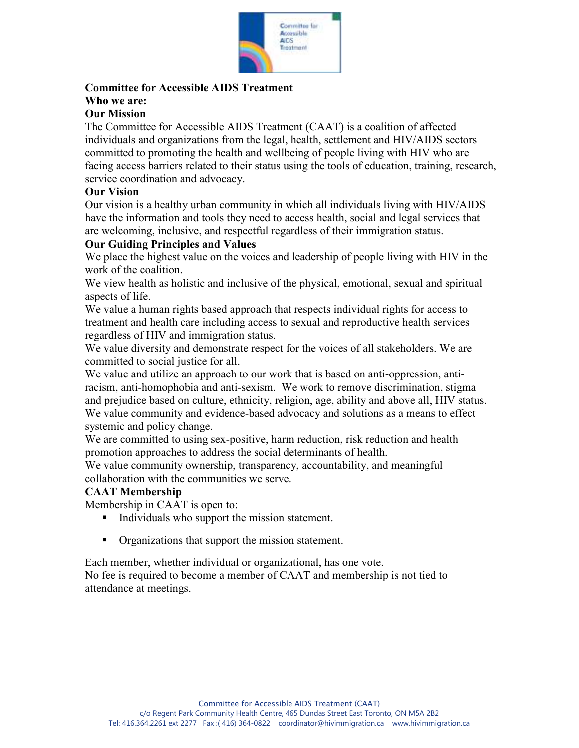

## **Committee for Accessible AIDS Treatment**

# **Who we are:**

## **Our Mission**

The Committee for Accessible AIDS Treatment (CAAT) is a coalition of affected individuals and organizations from the legal, health, settlement and HIV/AIDS sectors committed to promoting the health and wellbeing of people living with HIV who are facing access barriers related to their status using the tools of education, training, research, service coordination and advocacy.

#### **Our Vision**

Our vision is a healthy urban community in which all individuals living with HIV/AIDS have the information and tools they need to access health, social and legal services that are welcoming, inclusive, and respectful regardless of their immigration status.

#### **Our Guiding Principles and Values**

We place the highest value on the voices and leadership of people living with HIV in the work of the coalition.

We view health as holistic and inclusive of the physical, emotional, sexual and spiritual aspects of life.

We value a human rights based approach that respects individual rights for access to treatment and health care including access to sexual and reproductive health services regardless of HIV and immigration status.

We value diversity and demonstrate respect for the voices of all stakeholders. We are committed to social justice for all.

We value and utilize an approach to our work that is based on anti-oppression, antiracism, anti-homophobia and anti-sexism. We work to remove discrimination, stigma and prejudice based on culture, ethnicity, religion, age, ability and above all, HIV status. We value community and evidence-based advocacy and solutions as a means to effect systemic and policy change.

We are committed to using sex-positive, harm reduction, risk reduction and health promotion approaches to address the social determinants of health.

We value community ownership, transparency, accountability, and meaningful collaboration with the communities we serve.

### **CAAT Membership**

Membership in CAAT is open to:

- Individuals who support the mission statement.
- Organizations that support the mission statement.

Each member, whether individual or organizational, has one vote.

No fee is required to become a member of CAAT and membership is not tied to attendance at meetings.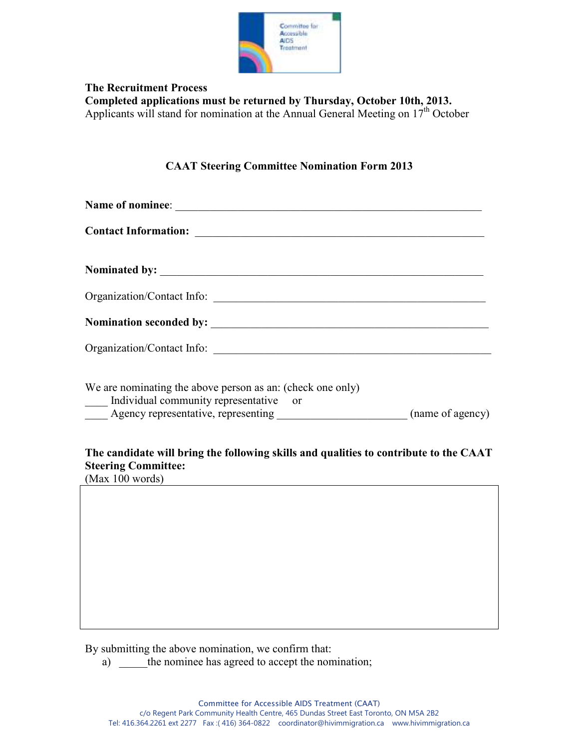

**The Recruitment Process Completed applications must be returned by Thursday, October 10th, 2013.** Applicants will stand for nomination at the Annual General Meeting on 17<sup>th</sup> October

#### **CAAT Steering Committee Nomination Form 2013**

| We are nominating the above person as an: (check one only)<br>Individual community representative or                |                 |
|---------------------------------------------------------------------------------------------------------------------|-----------------|
| The candidate will bring the following skills and qualities to contribute to the CAAT<br><b>Steering Committee:</b> | (Max 100 words) |

By submitting the above nomination, we confirm that:

a) \_\_\_\_\_the nominee has agreed to accept the nomination;